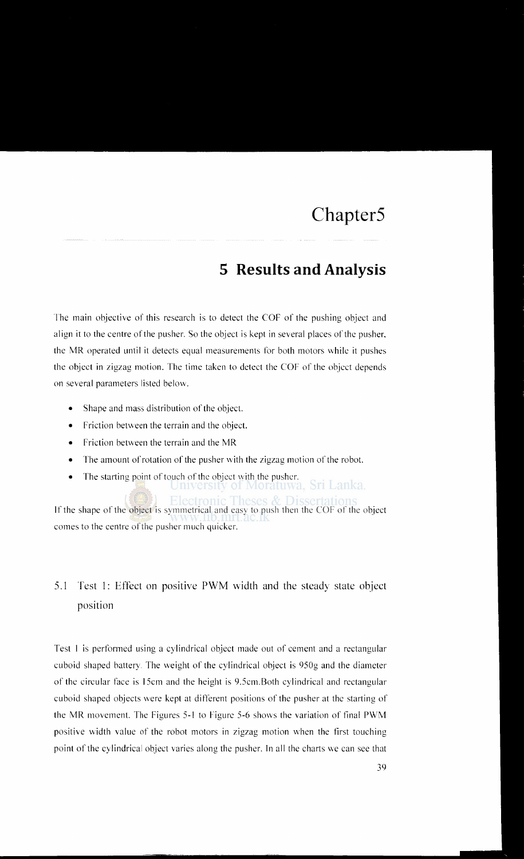## **5 Results and Analysis**

The main objective of this research is to detect the COF of the pushing object and align it to the centre of the pusher. So the object is kept in several places of the pusher, the MR operated until it detects equal measurements for both motors \vhile it pushes the object in zigzag motion. The time taken to detect the COF of the object depends on several parameters listed below.

- Shape and mass distribution of the object.
- $\bullet$  Friction between the terrain and the object.
- Friction between the terrain and the MR
- The amount of rotation of the pusher with the zigzag motion of the robot.
- The starting point of touch of the object with the pusher.<br>University of Moratuwa, Sri Lanka.

llectronic Theses  $\&$  Dissertation

If the shape of the object is symmetrical and easy to push then the COF of the object comes to the centre of the pusher much quicker.

## 5.1 Test 1: Effect on positive PWM width and the steady state object position

Test I is performed using a cylindrical object made out of cement and a rectangular cuboid shaped battery. The weight of the cylindrical object is 950g and the diameter of the circular face is !Scm and the height is 9.5cm.Both cylindrical and rectangular cuboid shaped objects were kept at different positions of the pusher at the starting of the MR movement. The Figures 5-l to Figure 5-6 shows the variation of final PWM positive \vidth value of the robot motors in zigzag motion when the first touching point of the cylindrical object varies along the pusher. In all the charts we can see that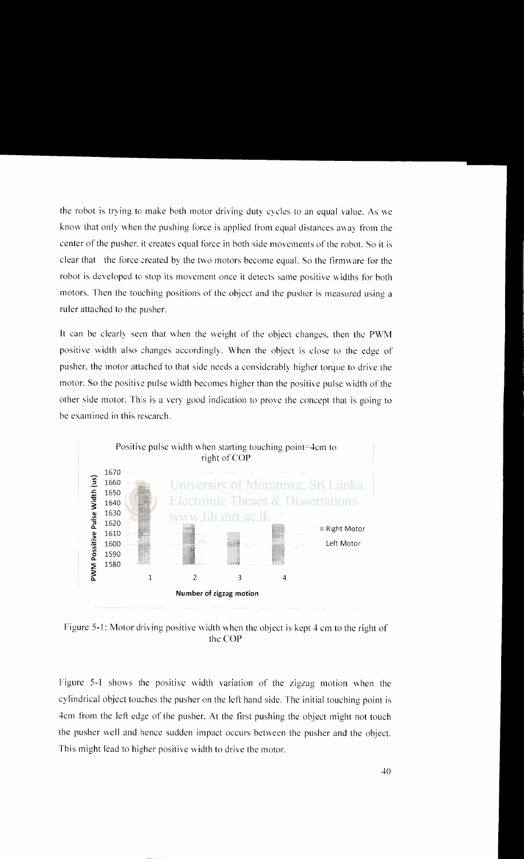the robot is trying to make both motor driving duty cycles to an equal value. As we know that only when the pushing force is applied from equal distances away from the center of the pusher, it creates equal force in both side movements of the robot. So it is clear that the force created by the two motors become equal. So the firmware for the robot is developed to stop its movement once it detects same positive widths for both motors. Then the touching positions of the object and the pusher is measured using a ruler attached to the pusher.

It can be clearly seen that when the weight of the object changes, then the PWM positive width also changes accordingly. When the object is close to the edge of pusher, the motor attached to that side needs a considerably higher torque to drive the motor. So the positive pulse width becomes higher than the positive pulse width of the other side motor. This is a very good indication to prove the concept that is going to be examined in this research.



Figure 5-1: Motor driving positive width when the object is kept 4 cm to the right of the COP

Figure 5-1 shows the positive width variation of the zigzag motion when the cylindrical object touches the pusher on the left hand side. The initial touching point is 4cm from the left edge of the pusher. At the first pushing the object might not touch the pusher well and hence sudden impact occurs between the pusher and the object. This might lead to higher positive width to drive the motor.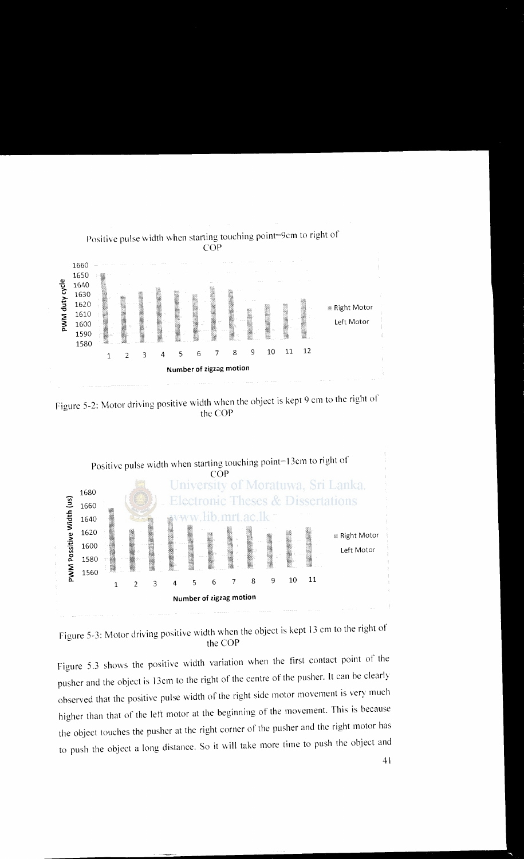

Figure 5-2: Motor driving positive width when the object is kept 9 cm to the right of the COP



Figure 5-3: Motor driving positive width when the object is kept 13 cm to the right of the COP

Figure 5.3 shows the positive width variation when the first contact point of the pusher and the object is 13cm to the right of the centre of the pusher. It can be clearly observed that the positive pulse width of the right side motor movement is very much higher than that of the left motor at the beginning of the movement. This is because the object touches the pusher at the right corner of the pusher and the right motor has to push the object a long distance. So it will take more time to push the object and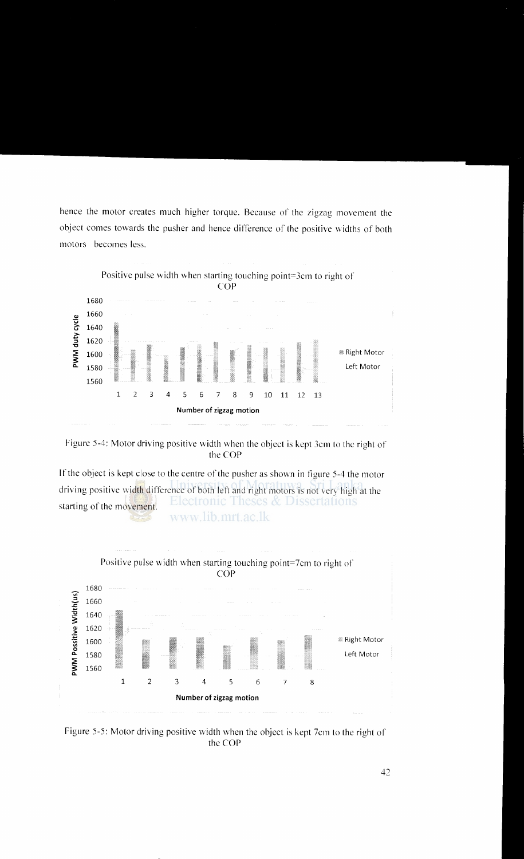hence the motor creates much higher torque. Because of the zigzag movement the object comes towards the pusher and hence difference of the positive widths of both motors becomes less.





If the object is kept close to the centre of the pusher as shown in figure  $5-4$  the motor driving positive width difference of both left and right motors is not very high at the Electronic Theses & Dissertations starting of the movement. www.lib.mrt.ac.lk



Figure 5-5: Motor driving positive width when the object is kept 7cm to the right of the COP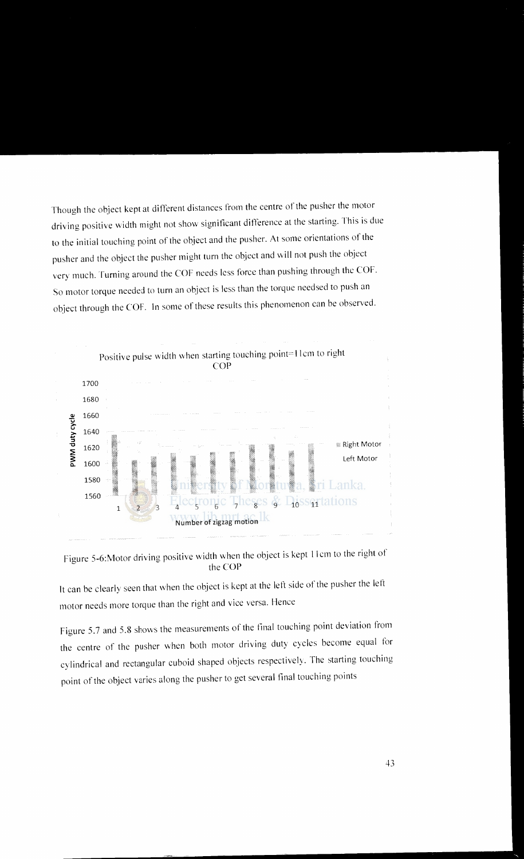Though the object kept at different distances from the centre of the pusher the motor driving positive width might not show significant difference at the starting. This is due to the initial touching point of the object and the pusher. At some orientations of the pusher and the object the pusher might turn the object and \\iII not push the object very much. Turning around the COF needs less force than pushing through the COF. So motor torque needed to turn an object is less than the torque needsed to push an object through the COF. In some of these results this phenomenon can be observed.



Figure 5-6:Motor driving positive width when the object is kept II em to the right of the COP

It can be clearly seen that when the object is kept at the left side of the pusher the left motor needs more torque than the right and vice versa. Hence

Figure 5.7 and 5.8 shows the measurements of the tina! touching point deviation from the centre of the pusher when both motor driving duty cycles become equal for cylindrical and rectangular cuboid shaped objects respectively. The starting touching point of the object varies along the pusher to get several tina! touching points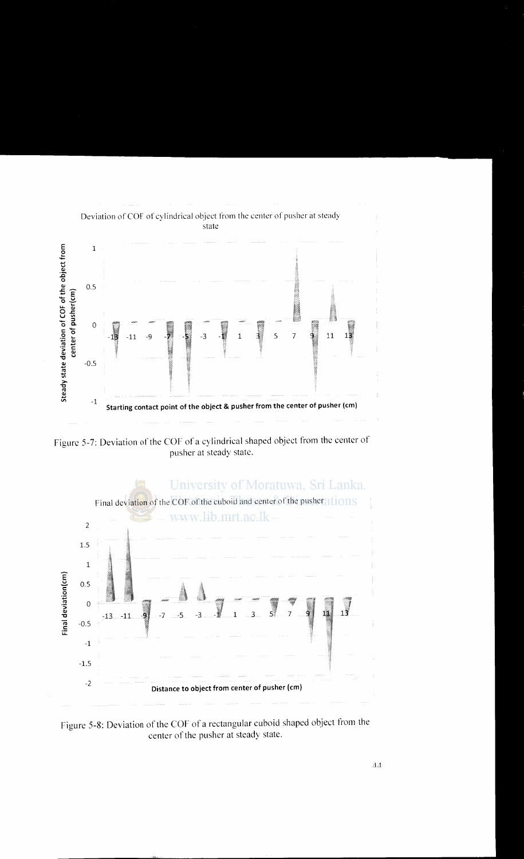

Figure 5-7: Deviation of the COF of a cylindrical shaped object from the center of pusher at steady state.



Figure 5-8: Deviation of the COF of a rectangular cuboid shaped object from the center of the pusher at steady state.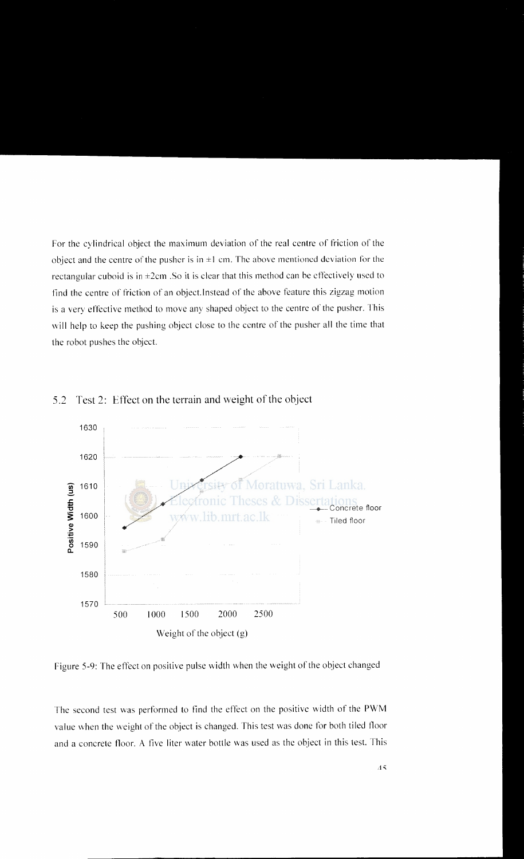For the cylindrical object the maximum deviation of the real centre of friction of the object and the centre of the pusher is in  $\pm 1$  cm. The above mentioned deviation for the rectangular cuboid is in  $\pm 2$ cm. So it is clear that this method can be effectively used to find the centre of friction of an object. Instead of the above feature this zigzag motion is a very effective method to move any shaped object to the centre of the pusher. This will help to keep the pushing object close to the centre of the pusher all the time that the robot pushes the object.



5.2 Test 2: Effect on the terrain and weight of the object

Figure 5-9: The effect on positive pulse width when the weight of the object changed

The second test was performed to find the effect on the positive width of the PWM value when the weight of the object is changed. This test was done for both tiled floor and a concrete floor. A five liter water bottle was used as the object in this test. This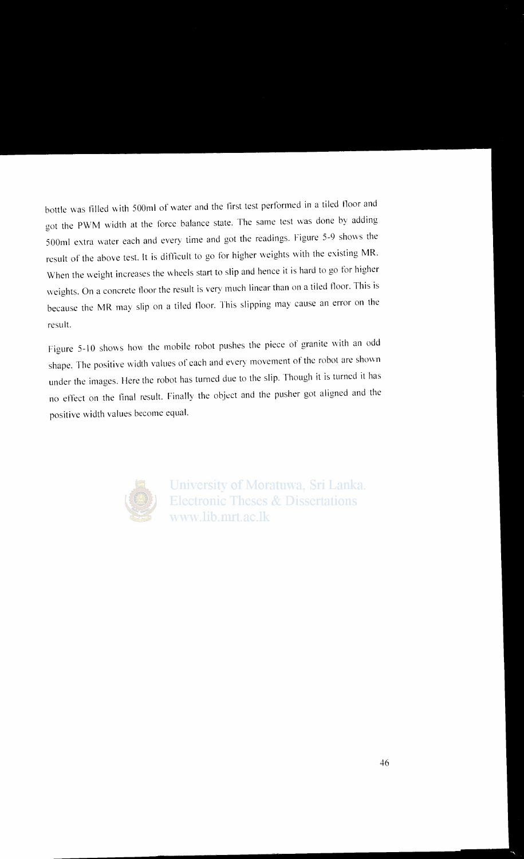bottle was filled with 500ml of water and the first test performed in a tiled tloor and got the PWM width at the force balance state. The same test was done by adding 500ml extra \Vater each and every time and got the readings. Figure 5-9 shows the result of the above test. It is difticult to go for higher weights \Vith the existing MR. When the weight increases the wheels start to slip and hence it is hard to go for higher weights. On a concrete floor the result is very much linear than on a tiled floor. This is because the MR may slip on a tiled tloor. This slipping may cause an error on the result.

Figure 5-10 shows how the mobile robot pushes the piece of granite with an odd shape. The positive width values of each and every movement of the robot are shown under the images. Here the robot has turned due to the slip. Though it is turned it has no effect on the final result. Finally the object and the pusher got aligned and the positive width values become equal.



University of Moratuwa, Sri Lanka. **Electronic Theses & Dissertations** www.lib.mrt.ac.lk